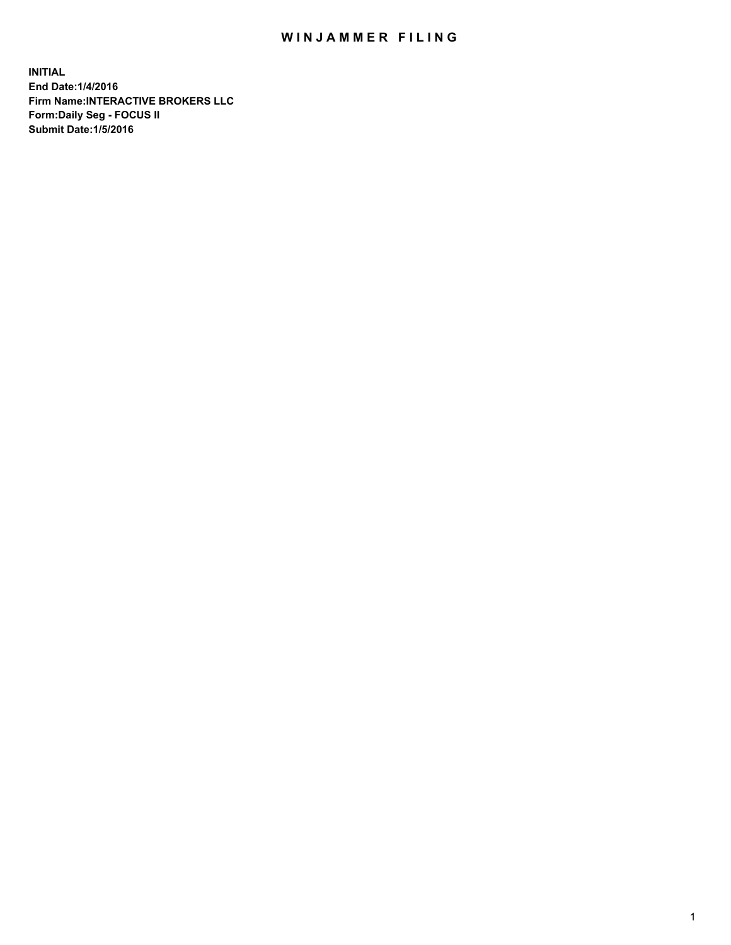## WIN JAMMER FILING

**INITIAL End Date:1/4/2016 Firm Name:INTERACTIVE BROKERS LLC Form:Daily Seg - FOCUS II Submit Date:1/5/2016**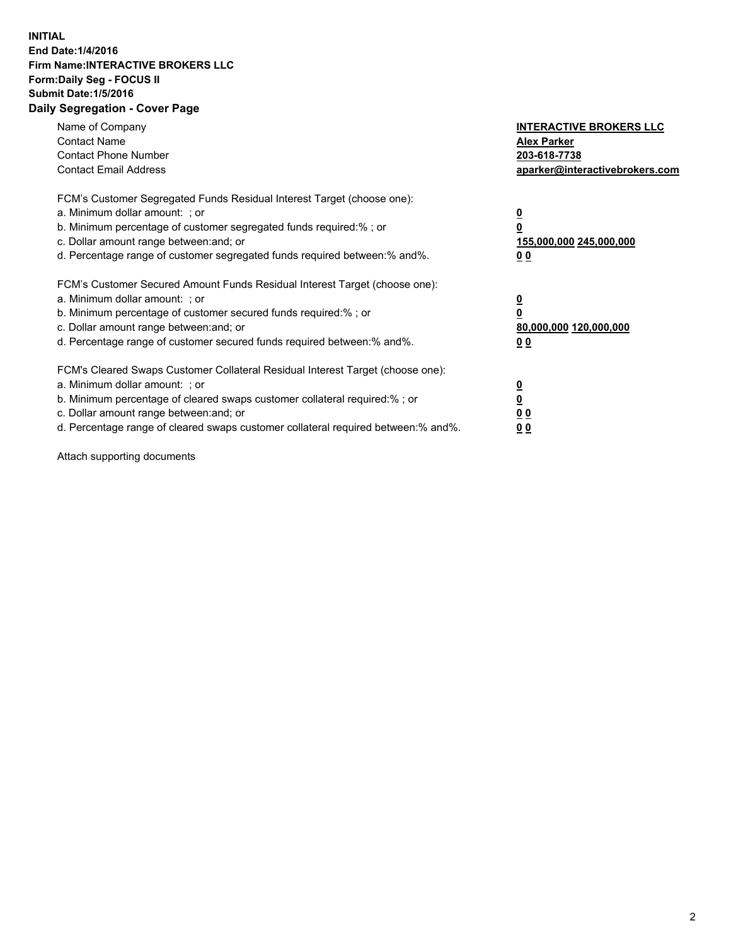## **INITIAL End Date:1/4/2016 Firm Name:INTERACTIVE BROKERS LLC Form:Daily Seg - FOCUS II Submit Date:1/5/2016 Daily Segregation - Cover Page**

| Name of Company<br><b>Contact Name</b><br><b>Contact Phone Number</b><br><b>Contact Email Address</b>                                                                                                                                                                                                                          | <b>INTERACTIVE BROKERS LLC</b><br><b>Alex Parker</b><br>203-618-7738<br>aparker@interactivebrokers.com |
|--------------------------------------------------------------------------------------------------------------------------------------------------------------------------------------------------------------------------------------------------------------------------------------------------------------------------------|--------------------------------------------------------------------------------------------------------|
| FCM's Customer Segregated Funds Residual Interest Target (choose one):<br>a. Minimum dollar amount: ; or<br>b. Minimum percentage of customer segregated funds required:%; or<br>c. Dollar amount range between: and; or<br>d. Percentage range of customer segregated funds required between:% and%.                          | <u>0</u><br>155,000,000 245,000,000<br><u>00</u>                                                       |
| FCM's Customer Secured Amount Funds Residual Interest Target (choose one):<br>a. Minimum dollar amount: ; or<br>b. Minimum percentage of customer secured funds required:%; or<br>c. Dollar amount range between: and; or<br>d. Percentage range of customer secured funds required between:% and%.                            | <u>0</u><br>80,000,000 120,000,000<br>0 <sub>0</sub>                                                   |
| FCM's Cleared Swaps Customer Collateral Residual Interest Target (choose one):<br>a. Minimum dollar amount: ; or<br>b. Minimum percentage of cleared swaps customer collateral required:% ; or<br>c. Dollar amount range between: and; or<br>d. Percentage range of cleared swaps customer collateral required between:% and%. | ₫<br>0 <sub>0</sub><br>0 <sub>0</sub>                                                                  |

Attach supporting documents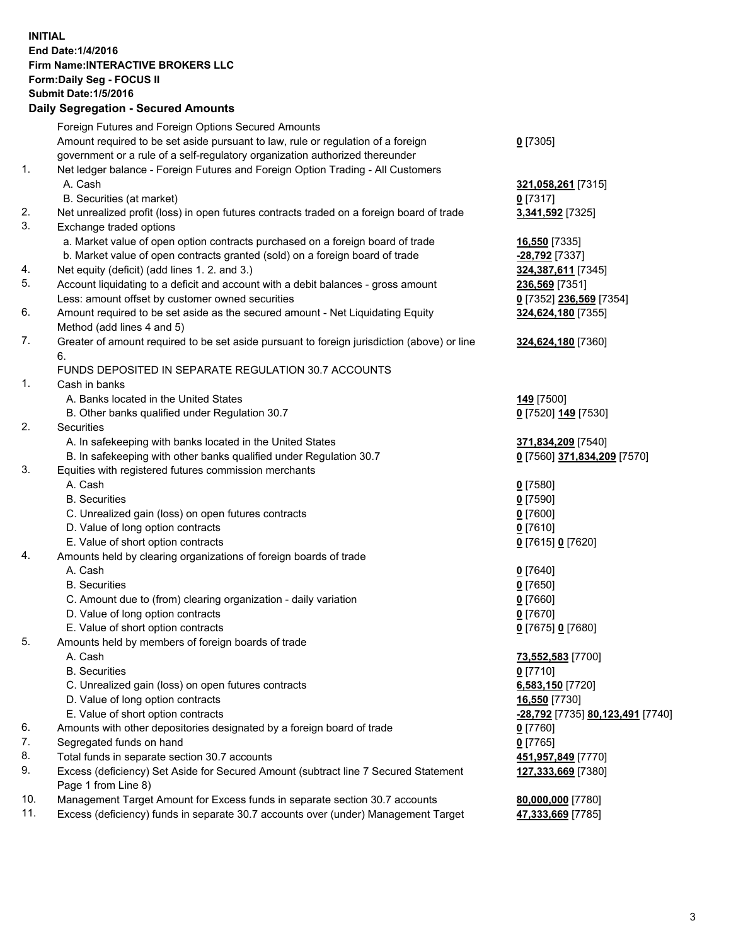## **INITIAL End Date:1/4/2016 Firm Name:INTERACTIVE BROKERS LLC Form:Daily Seg - FOCUS II Submit Date:1/5/2016 Daily Segregation - Secured Amounts**

|     | Foreign Futures and Foreign Options Secured Amounts                                         |                                  |
|-----|---------------------------------------------------------------------------------------------|----------------------------------|
|     | Amount required to be set aside pursuant to law, rule or regulation of a foreign            | $0$ [7305]                       |
|     | government or a rule of a self-regulatory organization authorized thereunder                |                                  |
| 1.  | Net ledger balance - Foreign Futures and Foreign Option Trading - All Customers             |                                  |
|     | A. Cash                                                                                     | 321,058,261 [7315]               |
|     | B. Securities (at market)                                                                   | $0$ [7317]                       |
| 2.  | Net unrealized profit (loss) in open futures contracts traded on a foreign board of trade   | 3,341,592 [7325]                 |
| 3.  | Exchange traded options                                                                     |                                  |
|     | a. Market value of open option contracts purchased on a foreign board of trade              | 16,550 [7335]                    |
|     | b. Market value of open contracts granted (sold) on a foreign board of trade                | -28,792 [7337]                   |
| 4.  | Net equity (deficit) (add lines 1. 2. and 3.)                                               | 324,387,611 [7345]               |
| 5.  | Account liquidating to a deficit and account with a debit balances - gross amount           | 236,569 [7351]                   |
|     | Less: amount offset by customer owned securities                                            | 0 [7352] 236,569 [7354]          |
| 6.  | Amount required to be set aside as the secured amount - Net Liquidating Equity              | 324,624,180 [7355]               |
|     | Method (add lines 4 and 5)                                                                  |                                  |
| 7.  | Greater of amount required to be set aside pursuant to foreign jurisdiction (above) or line | 324,624,180 [7360]               |
|     | 6.                                                                                          |                                  |
|     | FUNDS DEPOSITED IN SEPARATE REGULATION 30.7 ACCOUNTS                                        |                                  |
| 1.  | Cash in banks                                                                               |                                  |
|     | A. Banks located in the United States                                                       | 149 [7500]                       |
|     | B. Other banks qualified under Regulation 30.7                                              | 0 [7520] 149 [7530]              |
| 2.  | Securities                                                                                  |                                  |
|     | A. In safekeeping with banks located in the United States                                   | 371,834,209 [7540]               |
|     | B. In safekeeping with other banks qualified under Regulation 30.7                          | 0 [7560] 371,834,209 [7570]      |
| 3.  | Equities with registered futures commission merchants                                       |                                  |
|     | A. Cash                                                                                     | $0$ [7580]                       |
|     | <b>B.</b> Securities                                                                        | $0$ [7590]                       |
|     | C. Unrealized gain (loss) on open futures contracts                                         | $0$ [7600]                       |
|     | D. Value of long option contracts                                                           | $0$ [7610]                       |
|     | E. Value of short option contracts                                                          | 0 [7615] 0 [7620]                |
| 4.  | Amounts held by clearing organizations of foreign boards of trade                           |                                  |
|     | A. Cash                                                                                     | $0$ [7640]                       |
|     | <b>B.</b> Securities                                                                        | $0$ [7650]                       |
|     | C. Amount due to (from) clearing organization - daily variation                             | $0$ [7660]                       |
|     | D. Value of long option contracts                                                           | $0$ [7670]                       |
|     | E. Value of short option contracts                                                          | 0 [7675] 0 [7680]                |
| 5.  | Amounts held by members of foreign boards of trade                                          |                                  |
|     | A. Cash                                                                                     | 73,552,583 [7700]                |
|     | <b>B.</b> Securities                                                                        | $0$ [7710]                       |
|     | C. Unrealized gain (loss) on open futures contracts                                         | 6,583,150 [7720]                 |
|     | D. Value of long option contracts                                                           | 16,550 [7730]                    |
|     | E. Value of short option contracts                                                          | -28,792 [7735] 80,123,491 [7740] |
| 6.  | Amounts with other depositories designated by a foreign board of trade                      | 0 [7760]                         |
| 7.  | Segregated funds on hand                                                                    | $0$ [7765]                       |
| 8.  | Total funds in separate section 30.7 accounts                                               | 451,957,849 [7770]               |
| 9.  | Excess (deficiency) Set Aside for Secured Amount (subtract line 7 Secured Statement         | 127,333,669 [7380]               |
|     | Page 1 from Line 8)                                                                         |                                  |
| 10. | Management Target Amount for Excess funds in separate section 30.7 accounts                 | 80,000,000 [7780]                |
| 11. | Excess (deficiency) funds in separate 30.7 accounts over (under) Management Target          | 47,333,669 [7785]                |
|     |                                                                                             |                                  |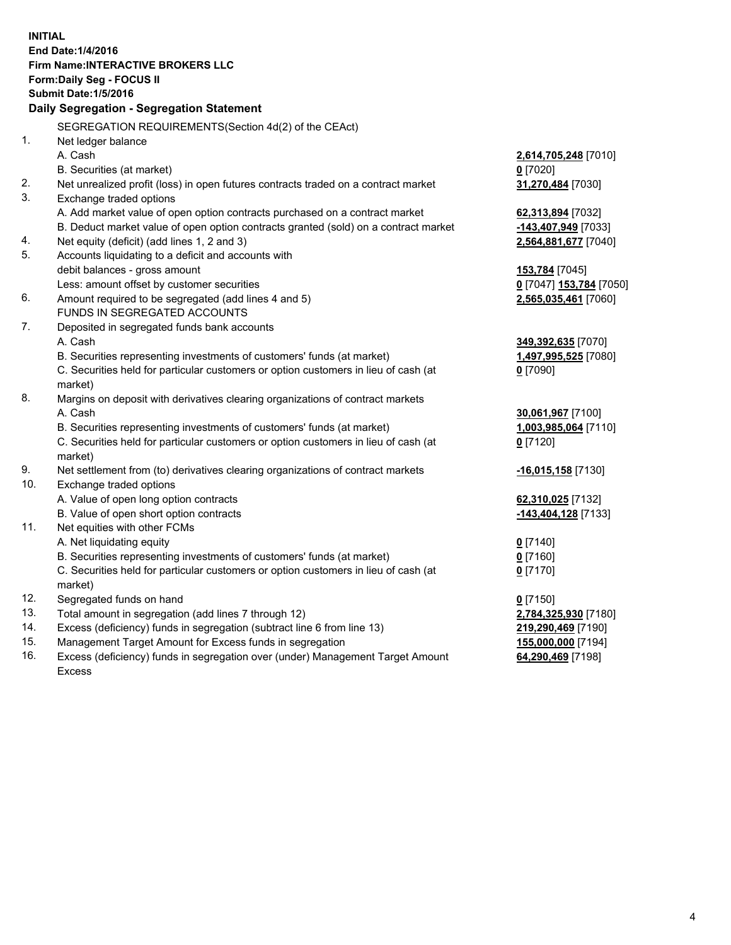**INITIAL End Date:1/4/2016 Firm Name:INTERACTIVE BROKERS LLC Form:Daily Seg - FOCUS II Submit Date:1/5/2016 Daily Segregation - Segregation Statement** SEGREGATION REQUIREMENTS(Section 4d(2) of the CEAct) 1. Net ledger balance A. Cash **2,614,705,248** [7010] B. Securities (at market) **0** [7020] 2. Net unrealized profit (loss) in open futures contracts traded on a contract market **31,270,484** [7030] 3. Exchange traded options A. Add market value of open option contracts purchased on a contract market **62,313,894** [7032] B. Deduct market value of open option contracts granted (sold) on a contract market **-143,407,949** [7033] 4. Net equity (deficit) (add lines 1, 2 and 3) **2,564,881,677** [7040] 5. Accounts liquidating to a deficit and accounts with debit balances - gross amount **153,784** [7045] Less: amount offset by customer securities **0** [7047] **153,784** [7050] 6. Amount required to be segregated (add lines 4 and 5) **2,565,035,461** [7060] FUNDS IN SEGREGATED ACCOUNTS 7. Deposited in segregated funds bank accounts A. Cash **349,392,635** [7070] B. Securities representing investments of customers' funds (at market) **1,497,995,525** [7080] C. Securities held for particular customers or option customers in lieu of cash (at market) **0** [7090] 8. Margins on deposit with derivatives clearing organizations of contract markets A. Cash **30,061,967** [7100] B. Securities representing investments of customers' funds (at market) **1,003,985,064** [7110] C. Securities held for particular customers or option customers in lieu of cash (at market) **0** [7120] 9. Net settlement from (to) derivatives clearing organizations of contract markets **-16,015,158** [7130] 10. Exchange traded options A. Value of open long option contracts **62,310,025** [7132] B. Value of open short option contracts **-143,404,128** [7133] 11. Net equities with other FCMs A. Net liquidating equity **0** [7140] B. Securities representing investments of customers' funds (at market) **0** [7160] C. Securities held for particular customers or option customers in lieu of cash (at market) **0** [7170] 12. Segregated funds on hand **0** [7150] 13. Total amount in segregation (add lines 7 through 12) **2,784,325,930** [7180] 14. Excess (deficiency) funds in segregation (subtract line 6 from line 13) **219,290,469** [7190] 15. Management Target Amount for Excess funds in segregation **155,000,000** [7194] **64,290,469** [7198]

16. Excess (deficiency) funds in segregation over (under) Management Target Amount Excess